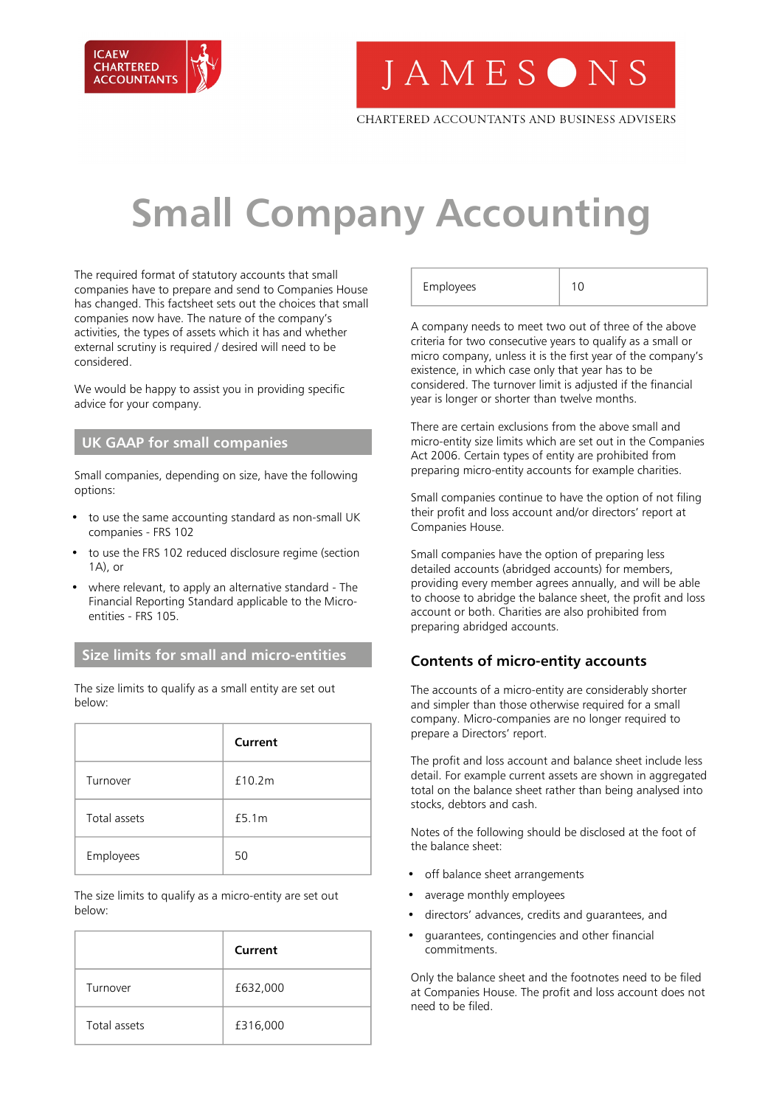

**JAMESONS** 

CHARTERED ACCOUNTANTS AND BUSINESS ADVISERS

# **Small Company Accounting**

The required format of statutory accounts that small companies have to prepare and send to Companies House has changed. This factsheet sets out the choices that small companies now have. The nature of the company's activities, the types of assets which it has and whether external scrutiny is required / desired will need to be considered.

We would be happy to assist you in providing specific advice for your company.

# **UK GAAP for small companies**

Small companies, depending on size, have the following options:

- to use the same accounting standard as non-small UK companies - FRS 102
- to use the FRS 102 reduced disclosure regime (section 1A), or
- where relevant, to apply an alternative standard The Financial Reporting Standard applicable to the Microentities - FRS 105.

### **Size limits for small and micro-entities**

The size limits to qualify as a small entity are set out below:

|              | Current |
|--------------|---------|
| Turnover     | £10.2m  |
| Total assets | £5.1m   |
| Employees    | 50      |

The size limits to qualify as a micro-entity are set out below:

|              | Current  |
|--------------|----------|
| Turnover     | £632,000 |
| Total assets | £316,000 |

| Employees | 10 |
|-----------|----|
|           |    |

A company needs to meet two out of three of the above criteria for two consecutive years to qualify as a small or micro company, unless it is the first year of the company's existence, in which case only that year has to be considered. The turnover limit is adjusted if the financial year is longer or shorter than twelve months.

There are certain exclusions from the above small and micro-entity size limits which are set out in the Companies Act 2006. Certain types of entity are prohibited from preparing micro-entity accounts for example charities.

Small companies continue to have the option of not filing their profit and loss account and/or directors' report at Companies House.

Small companies have the option of preparing less detailed accounts (abridged accounts) for members, providing every member agrees annually, and will be able to choose to abridge the balance sheet, the profit and loss account or both. Charities are also prohibited from preparing abridged accounts.

#### **Contents of micro-entity accounts**

The accounts of a micro-entity are considerably shorter and simpler than those otherwise required for a small company. Micro-companies are no longer required to prepare a Directors' report.

The profit and loss account and balance sheet include less detail. For example current assets are shown in aggregated total on the balance sheet rather than being analysed into stocks, debtors and cash.

Notes of the following should be disclosed at the foot of the balance sheet:

- off balance sheet arrangements
- average monthly employees
- directors' advances, credits and guarantees, and
- guarantees, contingencies and other financial commitments.

Only the balance sheet and the footnotes need to be filed at Companies House. The profit and loss account does not need to be filed.